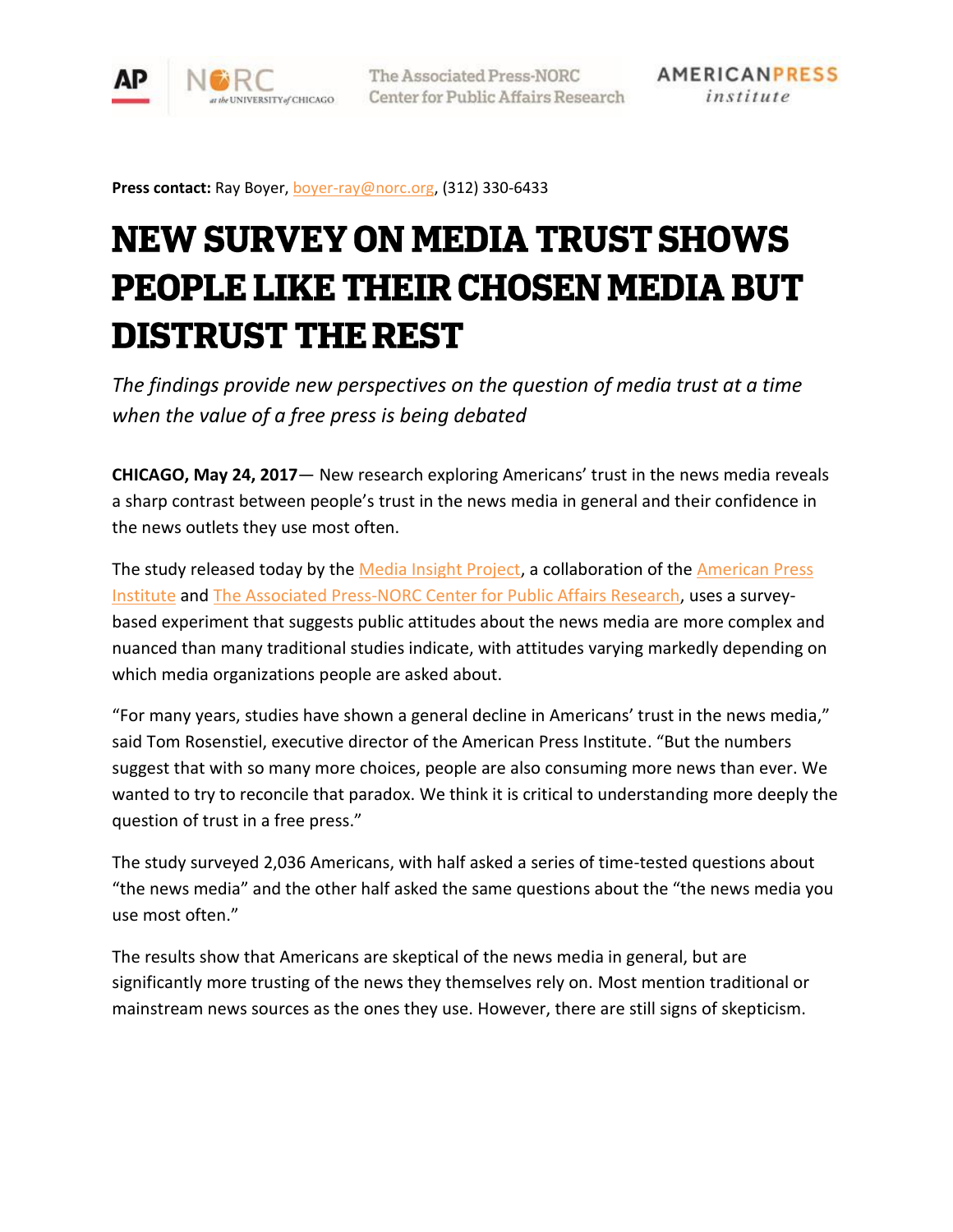

Press contact: Ray Boyer, [boyer-ray@norc.org,](mailto:boyer-ray@norc.org) (312) 330-6433

# **NEW SURVEY ON MEDIA TRUST SHOWS PEOPLE LIKE THEIR CHOSEN MEDIA BUT DISTRUST THE REST**

*The findings provide new perspectives on the question of media trust at a time when the value of a free press is being debated*

**CHICAGO, May 24, 2017**— New research exploring Americans' trust in the news media reveals a sharp contrast between people's trust in the news media in general and their confidence in the news outlets they use most often.

The study released today by the [Media Insight Project,](http://www.mediainsight.org/Pages/default.aspx) a collaboration of the American Press [Institute](https://www.americanpressinstitute.org/) and [The Associated Press-NORC Center for Public Affairs Research,](http://www.apnorc.org/) uses a surveybased experiment that suggests public attitudes about the news media are more complex and nuanced than many traditional studies indicate, with attitudes varying markedly depending on which media organizations people are asked about.

"For many years, studies have shown a general decline in Americans' trust in the news media," said Tom Rosenstiel, executive director of the American Press Institute. "But the numbers suggest that with so many more choices, people are also consuming more news than ever. We wanted to try to reconcile that paradox. We think it is critical to understanding more deeply the question of trust in a free press."

The study surveyed 2,036 Americans, with half asked a series of time-tested questions about "the news media" and the other half asked the same questions about the "the news media you use most often."

The results show that Americans are skeptical of the news media in general, but are significantly more trusting of the news they themselves rely on. Most mention traditional or mainstream news sources as the ones they use. However, there are still signs of skepticism.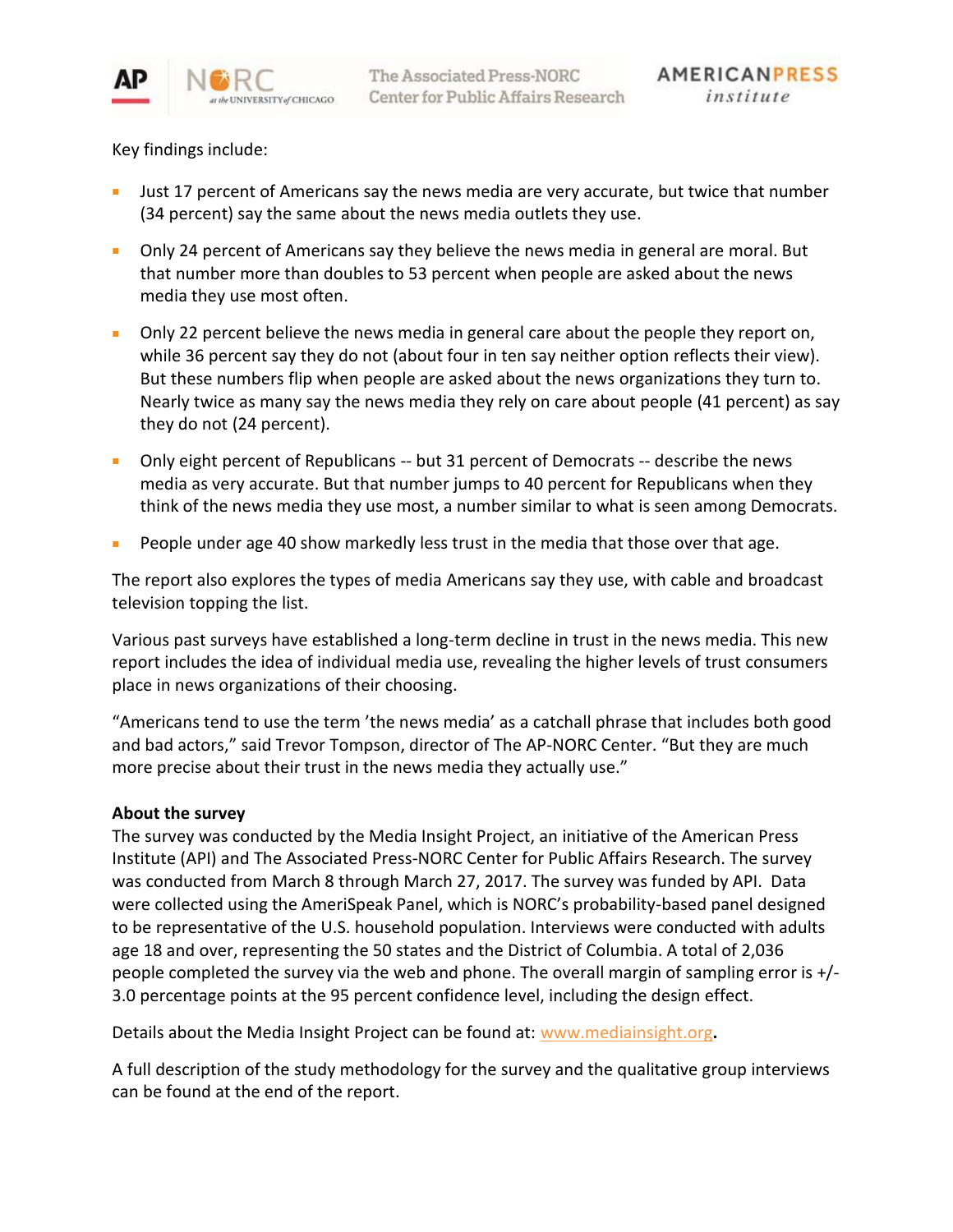

Key findings include:

- Just 17 percent of Americans say the news media are very accurate, but twice that number (34 percent) say the same about the news media outlets they use.
- Only 24 percent of Americans say they believe the news media in general are moral. But that number more than doubles to 53 percent when people are asked about the news media they use most often.
- Only 22 percent believe the news media in general care about the people they report on, while 36 percent say they do not (about four in ten say neither option reflects their view). But these numbers flip when people are asked about the news organizations they turn to. Nearly twice as many say the news media they rely on care about people (41 percent) as say they do not (24 percent).
- Only eight percent of Republicans -- but 31 percent of Democrats -- describe the news media as very accurate. But that number jumps to 40 percent for Republicans when they think of the news media they use most, a number similar to what is seen among Democrats.
- People under age 40 show markedly less trust in the media that those over that age.

The report also explores the types of media Americans say they use, with cable and broadcast television topping the list.

Various past surveys have established a long-term decline in trust in the news media. This new report includes the idea of individual media use, revealing the higher levels of trust consumers place in news organizations of their choosing.

"Americans tend to use the term 'the news media' as a catchall phrase that includes both good and bad actors," said Trevor Tompson, director of The AP-NORC Center. "But they are much more precise about their trust in the news media they actually use."

## **About the survey**

The survey was conducted by the Media Insight Project, an initiative of the American Press Institute (API) and The Associated Press-NORC Center for Public Affairs Research. The survey was conducted from March 8 through March 27, 2017. The survey was funded by API. Data were collected using the AmeriSpeak Panel, which is NORC's probability-based panel designed to be representative of the U.S. household population. Interviews were conducted with adults age 18 and over, representing the 50 states and the District of Columbia. A total of 2,036 people completed the survey via the web and phone. The overall margin of sampling error is +/- 3.0 percentage points at the 95 percent confidence level, including the design effect.

Details about the Media Insight Project can be found at: [www.mediainsight.org](http://www.mediainsight.org/)**.**

A full description of the study methodology for the survey and the qualitative group interviews can be found at the end of the report.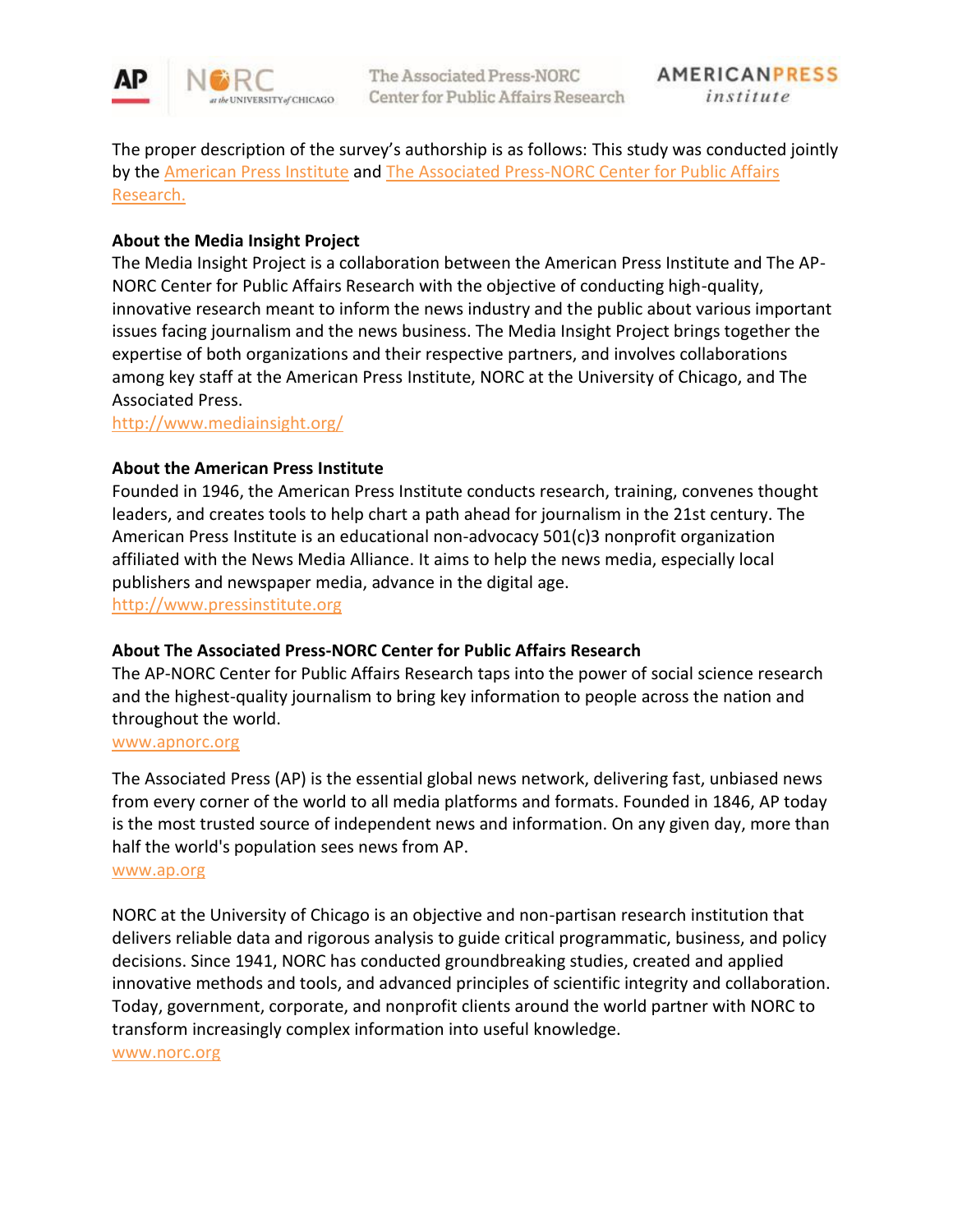

The proper description of the survey's authorship is as follows: This study was conducted jointly by the [American Press Institute](http://www.americanpressinstitute.org/) and The Associated Press-NORC Center for Public Affairs [Research.](http://apnorc.org/Pages/default.aspx)

# **About the Media Insight Project**

The Media Insight Project is a collaboration between the American Press Institute and The AP-NORC Center for Public Affairs Research with the objective of conducting high-quality, innovative research meant to inform the news industry and the public about various important issues facing journalism and the news business. The Media Insight Project brings together the expertise of both organizations and their respective partners, and involves collaborations among key staff at the American Press Institute, NORC at the University of Chicago, and The Associated Press.

<http://www.mediainsight.org/>

## **About the American Press Institute**

Founded in 1946, the American Press Institute conducts research, training, convenes thought leaders, and creates tools to help chart a path ahead for journalism in the 21st century. The American Press Institute is an educational non-advocacy 501(c)3 nonprofit organization affiliated with the News Media Alliance. It aims to help the news media, especially local publishers and newspaper media, advance in the digital age.

[http://www.pressinstitute.org](http://www.pressinstitute.org/)

## **About The Associated Press-NORC Center for Public Affairs Research**

The AP-NORC Center for Public Affairs Research taps into the power of social science research and the highest-quality journalism to bring key information to people across the nation and throughout the world.

#### [www.apnorc.org](http://www.apnorc.org/)

The Associated Press (AP) is the essential global news network, delivering fast, unbiased news from every corner of the world to all media platforms and formats. Founded in 1846, AP today is the most trusted source of independent news and information. On any given day, more than half the world's population sees news from AP.

#### [www.ap.org](http://www.ap.org/)

NORC at the University of Chicago is an objective and non-partisan research institution that delivers reliable data and rigorous analysis to guide critical programmatic, business, and policy decisions. Since 1941, NORC has conducted groundbreaking studies, created and applied innovative methods and tools, and advanced principles of scientific integrity and collaboration. Today, government, corporate, and nonprofit clients around the world partner with NORC to transform increasingly complex information into useful knowledge.

[www.norc.org](http://www.norc.org/)